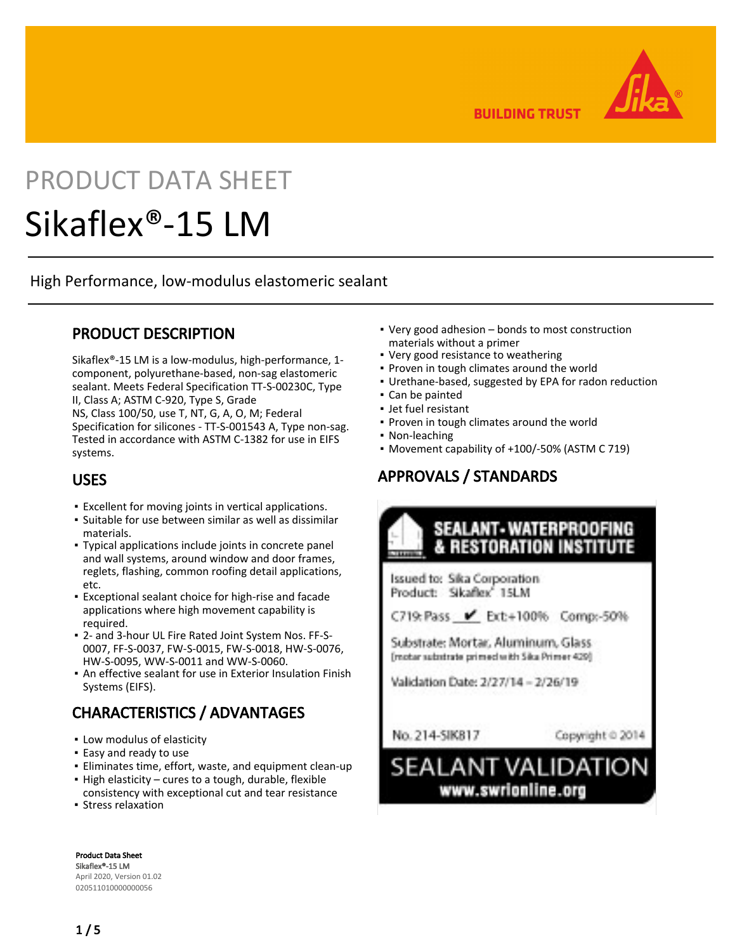**BUILDING TRUST** 

# PRODUCT DATA SHEET

## Sikaflex®-15 LM

High Performance, low-modulus elastomeric sealant

## PRODUCT DESCRIPTION

Sikaflex®-15 LM is a low-modulus, high-performance, 1 component, polyurethane-based, non-sag elastomeric sealant. Meets Federal Specification TT-S-00230C, Type II, Class A; ASTM C-920, Type S, Grade

NS, Class 100/50, use T, NT, G, A, O, M; Federal Specification for silicones - TT-S-001543 A, Type non-sag. Tested in accordance with ASTM C-1382 for use in EIFS systems.

## USES

- Excellent for moving joints in vertical applications.
- **·** Suitable for use between similar as well as dissimilar materials.
- **Typical applications include joints in concrete panel** and wall systems, around window and door frames, reglets, flashing, common roofing detail applications, etc.
- **Exceptional sealant choice for high-rise and facade** applications where high movement capability is required.
- 2- and 3-hour UL Fire Rated Joint System Nos. FF-S-▪ 0007, FF-S-0037, FW-S-0015, FW-S-0018, HW-S-0076, HW-S-0095, WW-S-0011 and WW-S-0060.
- An effective sealant for use in Exterior Insulation Finish Systems (EIFS).

## CHARACTERISTICS / ADVANTAGES

- Low modulus of elasticity
- **Easy and ready to use**
- Eliminates time, effort, waste, and equipment clean-up
- High elasticity cures to a tough, durable, flexible
- consistency with exceptional cut and tear resistance **Exercise Stress relaxation**
- Very good adhesion bonds to most construction materials without a primer
- Very good resistance to weathering
- Proven in tough climates around the world
- Urethane-based, suggested by EPA for radon reduction
- Can be painted
- Jet fuel resistant
- Proven in tough climates around the world
- Non-leaching
- Movement capability of +100/-50% (ASTM C 719)

## APPROVALS / STANDARDS



**Issued to: Sika Corporation** Product: Skaflex 1SLM

C719: Pass V Ext:+100% Comp:-50%

Substrate: Mortar, Aluminum, Glass [motar substrate primed with Sika Primer 429]

Validation Date: 2/27/14 - 2/26/19

No. 214-5IK817

Copyright @ 2014

**SEALANT VALIDATION** www.swrionline.org

Product Data Sheet Sikaflex®-15 LM April 2020, Version 01.02 020511010000000056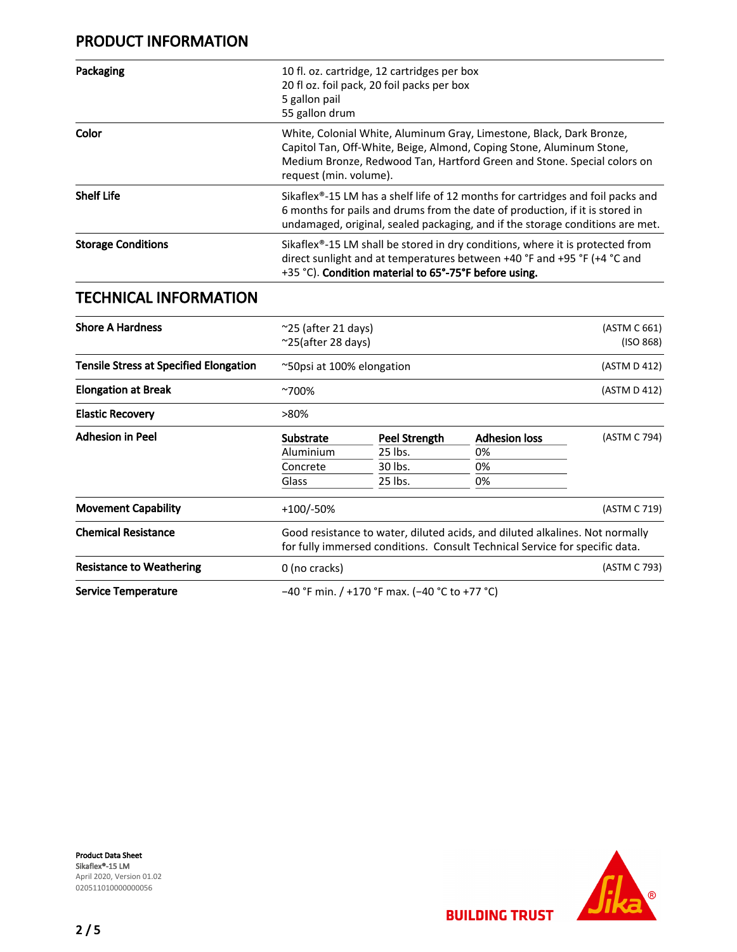## PRODUCT INFORMATION

| Packaging                 | 10 fl. oz. cartridge, 12 cartridges per box<br>20 fl oz. foil pack, 20 foil packs per box<br>5 gallon pail<br>55 gallon drum                                                                                                                                  |  |
|---------------------------|---------------------------------------------------------------------------------------------------------------------------------------------------------------------------------------------------------------------------------------------------------------|--|
| Color                     | White, Colonial White, Aluminum Gray, Limestone, Black, Dark Bronze,<br>Capitol Tan, Off-White, Beige, Almond, Coping Stone, Aluminum Stone,<br>Medium Bronze, Redwood Tan, Hartford Green and Stone. Special colors on<br>request (min. volume).             |  |
| <b>Shelf Life</b>         | Sikaflex <sup>®</sup> -15 LM has a shelf life of 12 months for cartridges and foil packs and<br>6 months for pails and drums from the date of production, if it is stored in<br>undamaged, original, sealed packaging, and if the storage conditions are met. |  |
| <b>Storage Conditions</b> | Sikaflex <sup>®</sup> -15 LM shall be stored in dry conditions, where it is protected from<br>direct sunlight and at temperatures between +40 °F and +95 °F (+4 °C and<br>+35 °C). Condition material to 65°-75°F before using.                               |  |

## TECHNICAL INFORMATION

| <b>Shore A Hardness</b>                       | $\approx$ 25 (after 21 days)<br>$\approx$ 25(after 28 days)                                                                                                 |               |                      | (ASTM C 661)<br>(ISO 868) |
|-----------------------------------------------|-------------------------------------------------------------------------------------------------------------------------------------------------------------|---------------|----------------------|---------------------------|
| <b>Tensile Stress at Specified Elongation</b> | ~50psi at 100% elongation                                                                                                                                   |               | (ASTM D 412)         |                           |
| <b>Elongation at Break</b>                    | $~700\%$                                                                                                                                                    |               | (ASTM D 412)         |                           |
| <b>Elastic Recovery</b>                       | >80%                                                                                                                                                        |               |                      |                           |
| <b>Adhesion in Peel</b>                       | <b>Substrate</b>                                                                                                                                            | Peel Strength | <b>Adhesion loss</b> | (ASTM C 794)              |
|                                               | Aluminium                                                                                                                                                   | 25 lbs.       | 0%                   |                           |
|                                               | Concrete                                                                                                                                                    | 30 lbs.       | 0%                   |                           |
|                                               | Glass                                                                                                                                                       | 25 lbs.       | 0%                   |                           |
| <b>Movement Capability</b>                    | $+100/-50%$                                                                                                                                                 |               |                      | (ASTM C 719)              |
| <b>Chemical Resistance</b>                    | Good resistance to water, diluted acids, and diluted alkalines. Not normally<br>for fully immersed conditions. Consult Technical Service for specific data. |               |                      |                           |
| <b>Resistance to Weathering</b>               | 0 (no cracks)                                                                                                                                               |               |                      | (ASTM C 793)              |
| Service Temperature                           | $-40$ °F min. / +170 °F max. (-40 °C to +77 °C)                                                                                                             |               |                      |                           |

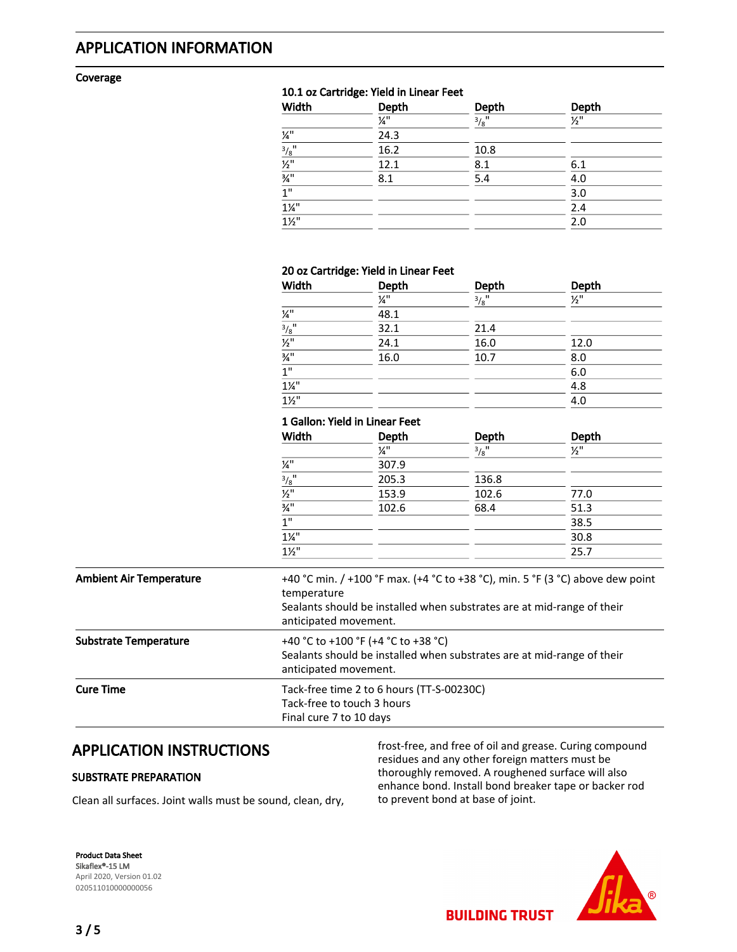## APPLICATION INFORMATION

#### Coverage

#### 10.1 oz Cartridge: Yield in Linear Feet

| Width                               | Depth           | <b>Depth</b>        | Depth           |
|-------------------------------------|-----------------|---------------------|-----------------|
|                                     | $\frac{1}{4}$ " | $3/8$ <sup>11</sup> | $\frac{1}{2}$ " |
| $\frac{1}{4}$ "                     | 24.3            |                     |                 |
| $\frac{3}{8}$ <sup>11</sup>         | 16.2            | 10.8                |                 |
| $\overline{\mathcal{V}_2}$ "        | 12.1            | 8.1                 | 6.1             |
| $\frac{3}{4}$                       | 8.1             | 5.4                 | 4.0             |
| 1"                                  |                 |                     | 3.0             |
| $\frac{1\frac{1}{4}}{1\frac{1}{2}}$ |                 |                     | 2.4             |
|                                     |                 |                     | 2.0             |

#### 20 oz Cartridge: Yield in Linear Feet

| Width                          | Depth | Depth               | Depth           |
|--------------------------------|-------|---------------------|-----------------|
|                                | 1⁄4"  | $3/8$ <sup>11</sup> | $\frac{1}{2}$ " |
| $\mathcal{V}^{\shortparallel}$ | 48.1  |                     |                 |
| $\frac{3}{8}$ <sup>11</sup>    | 32.1  | 21.4                |                 |
| $\frac{1}{2}$                  | 24.1  | 16.0                | 12.0            |
| $\frac{3}{4}$ <sup>11</sup>    | 16.0  | 10.7                | 8.0             |
| 1 <sup>''</sup>                |       |                     | 6.0             |
| $1\frac{1}{4}$                 |       |                     | 4.8             |
| $1\frac{1}{2}$                 |       |                     | 4.0             |

#### 1 Gallon: Yield in Linear Feet

| Width                               | Depth | Depth               | Depth           |
|-------------------------------------|-------|---------------------|-----------------|
|                                     | ¼"    | $3/8$ <sup>11</sup> | $\frac{1}{2}$ " |
| $\frac{1}{4}$                       | 307.9 |                     |                 |
| $\frac{3/8}{1/2}$                   | 205.3 | 136.8               |                 |
|                                     | 153.9 | 102.6               | 77.0            |
| $\frac{3}{4}$ "                     | 102.6 | 68.4                | 51.3            |
| $\overline{1}$                      |       |                     | 38.5            |
| $\frac{1\frac{1}{4}}{1\frac{1}{2}}$ |       |                     | 30.8            |
|                                     |       |                     | 25.7            |

| <b>Ambient Air Temperature</b> | +40 °C min. / +100 °F max. (+4 °C to +38 °C), min. 5 °F (3 °C) above dew point<br>temperature<br>Sealants should be installed when substrates are at mid-range of their<br>anticipated movement. |
|--------------------------------|--------------------------------------------------------------------------------------------------------------------------------------------------------------------------------------------------|
| <b>Substrate Temperature</b>   | +40 °C to +100 °F (+4 °C to +38 °C)<br>Sealants should be installed when substrates are at mid-range of their<br>anticipated movement.                                                           |
| <b>Cure Time</b>               | Tack-free time 2 to 6 hours (TT-S-00230C)<br>Tack-free to touch 3 hours<br>Final cure 7 to 10 days                                                                                               |

## APPLICATION INSTRUCTIONS

#### SUBSTRATE PREPARATION

Clean all surfaces. Joint walls must be sound, clean, dry,

frost-free, and free of oil and grease. Curing compound residues and any other foreign matters must be thoroughly removed. A roughened surface will also enhance bond. Install bond breaker tape or backer rod to prevent bond at base of joint.

**BUILDING TRUST** 

Product Data Sheet Sikaflex®-15 LM April 2020, Version 01.02 020511010000000056

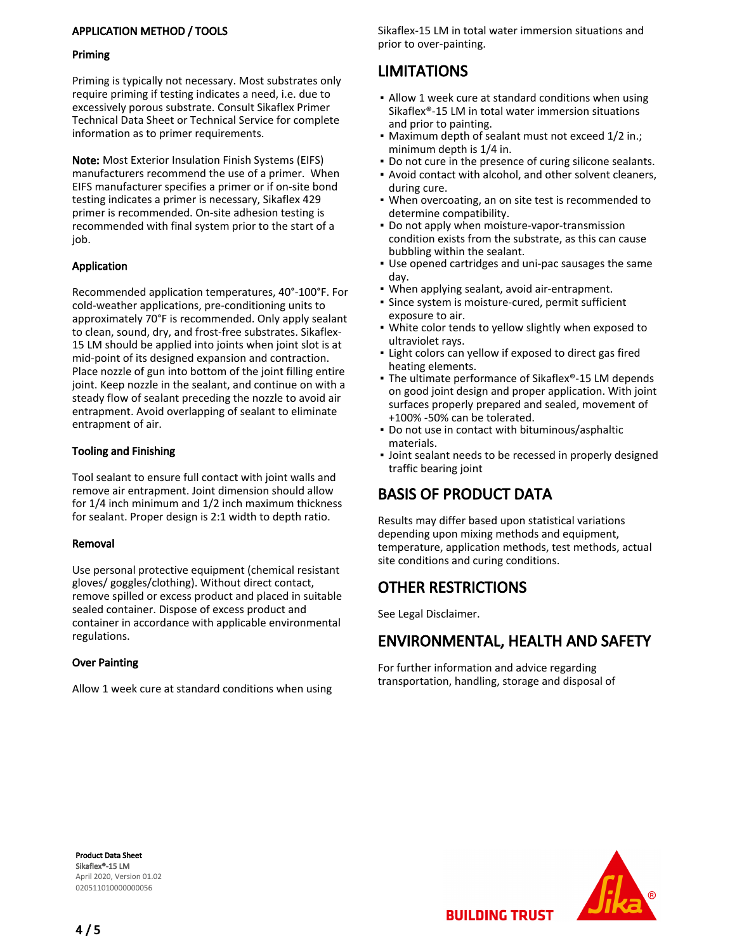#### APPLICATION METHOD / TOOLS

#### Priming

Priming is typically not necessary. Most substrates only require priming if testing indicates a need, i.e. due to excessively porous substrate. Consult Sikaflex Primer Technical Data Sheet or Technical Service for complete information as to primer requirements.

Note: Most Exterior Insulation Finish Systems (EIFS) manufacturers recommend the use of a primer. When EIFS manufacturer specifies a primer or if on-site bond testing indicates a primer is necessary, Sikaflex 429 primer is recommended. On-site adhesion testing is recommended with final system prior to the start of a job.

#### Application

Recommended application temperatures, 40°-100°F. For cold-weather applications, pre-conditioning units to approximately 70°F is recommended. Only apply sealant to clean, sound, dry, and frost-free substrates. Sikaflex-15 LM should be applied into joints when joint slot is at mid-point of its designed expansion and contraction. Place nozzle of gun into bottom of the joint filling entire joint. Keep nozzle in the sealant, and continue on with a steady flow of sealant preceding the nozzle to avoid air entrapment. Avoid overlapping of sealant to eliminate entrapment of air.

#### Tooling and Finishing

Tool sealant to ensure full contact with joint walls and remove air entrapment. Joint dimension should allow for 1/4 inch minimum and 1/2 inch maximum thickness for sealant. Proper design is 2:1 width to depth ratio.

#### Removal

Use personal protective equipment (chemical resistant gloves/ goggles/clothing). Without direct contact, remove spilled or excess product and placed in suitable sealed container. Dispose of excess product and container in accordance with applicable environmental regulations.

#### Over Painting

Allow 1 week cure at standard conditions when using

Sikaflex-15 LM in total water immersion situations and prior to over-painting.

## LIMITATIONS

- Allow 1 week cure at standard conditions when using Sikaflex®-15 LM in total water immersion situations and prior to painting.
- Maximum depth of sealant must not exceed 1/2 in.; minimum depth is 1/4 in.
- Do not cure in the presence of curing silicone sealants.
- Avoid contact with alcohol, and other solvent cleaners, during cure.
- When overcoating, an on site test is recommended to determine compatibility. ▪
- Do not apply when moisture-vapor-transmission condition exists from the substrate, as this can cause bubbling within the sealant.
- Use opened cartridges and uni-pac sausages the same day.
- When applying sealant, avoid air-entrapment.
- **·** Since system is moisture-cured, permit sufficient exposure to air.
- White color tends to yellow slightly when exposed to ultraviolet rays.
- **.** Light colors can yellow if exposed to direct gas fired heating elements.
- The ultimate performance of Sikaflex®-15 LM depends on good joint design and proper application. With joint surfaces properly prepared and sealed, movement of +100% -50% can be tolerated.
- Do not use in contact with bituminous/asphaltic materials.
- **.** Joint sealant needs to be recessed in properly designed traffic bearing joint

## BASIS OF PRODUCT DATA

Results may differ based upon statistical variations depending upon mixing methods and equipment, temperature, application methods, test methods, actual site conditions and curing conditions.

## OTHER RESTRICTIONS

See Legal Disclaimer.

## ENVIRONMENTAL, HEALTH AND SAFETY

For further information and advice regarding transportation, handling, storage and disposal of

Product Data Sheet Sikaflex®-15 LM April 2020, Version 01.02 020511010000000056



**BUILDING TRUST**